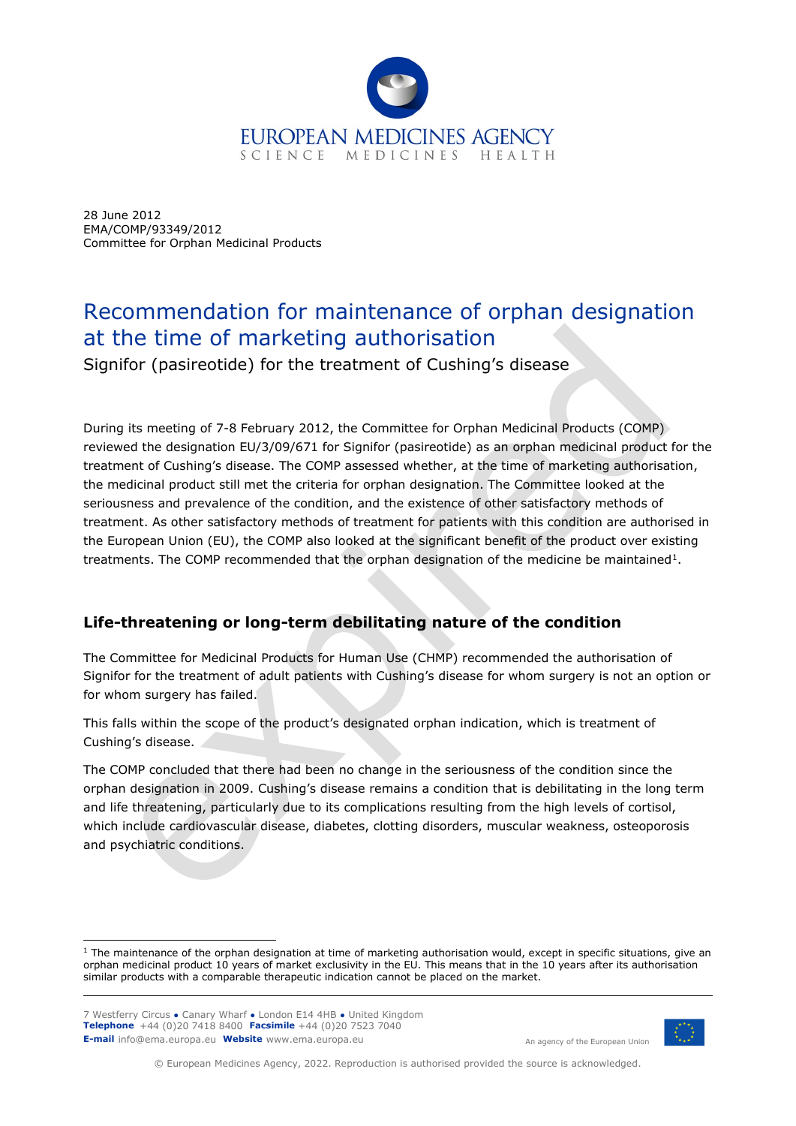

28 June 2012 EMA/COMP/93349/2012 Committee for Orphan Medicinal Products

# Recommendation for maintenance of orphan designation at the time of marketing authorisation

Signifor (pasireotide) for the treatment of Cushing's disease

During its meeting of 7-8 February 2012, the Committee for Orphan Medicinal Products (COMP) reviewed the designation EU/3/09/671 for Signifor (pasireotide) as an orphan medicinal product for the treatment of Cushing's disease. The COMP assessed whether, at the time of marketing authorisation, the medicinal product still met the criteria for orphan designation. The Committee looked at the seriousness and prevalence of the condition, and the existence of other satisfactory methods of treatment. As other satisfactory methods of treatment for patients with this condition are authorised in the European Union (EU), the COMP also looked at the significant benefit of the product over existing treatments. The COMP recommended that the orphan designation of the medicine be maintained<sup>1</sup>.

## **Life-threatening or long-term debilitating nature of the condition**

The Committee for Medicinal Products for Human Use (CHMP) recommended the authorisation of Signifor for the treatment of adult patients with Cushing's disease for whom surgery is not an option or for whom surgery has failed.

This falls within the scope of the product's designated orphan indication, which is treatment of Cushing's disease.

The COMP concluded that there had been no change in the seriousness of the condition since the orphan designation in 2009. Cushing's disease remains a condition that is debilitating in the long term and life threatening, particularly due to its complications resulting from the high levels of cortisol, which include cardiovascular disease, diabetes, clotting disorders, muscular weakness, osteoporosis and psychiatric conditions.

7 Westferry Circus **●** Canary Wharf **●** London E14 4HB **●** United Kingdom **Telephone** +44 (0)20 7418 8400 **Facsimile** +44 (0)20 7523 7040 **E-mail** info@ema.europa.eu **Website** www.ema.europa.eu



An agency of the European Union

© European Medicines Agency, 2022. Reproduction is authorised provided the source is acknowledged.

<span id="page-0-0"></span> $1$  The maintenance of the orphan designation at time of marketing authorisation would, except in specific situations, give an orphan medicinal product 10 years of market exclusivity in the EU. This means that in the 10 years after its authorisation similar products with a comparable therapeutic indication cannot be placed on the market.